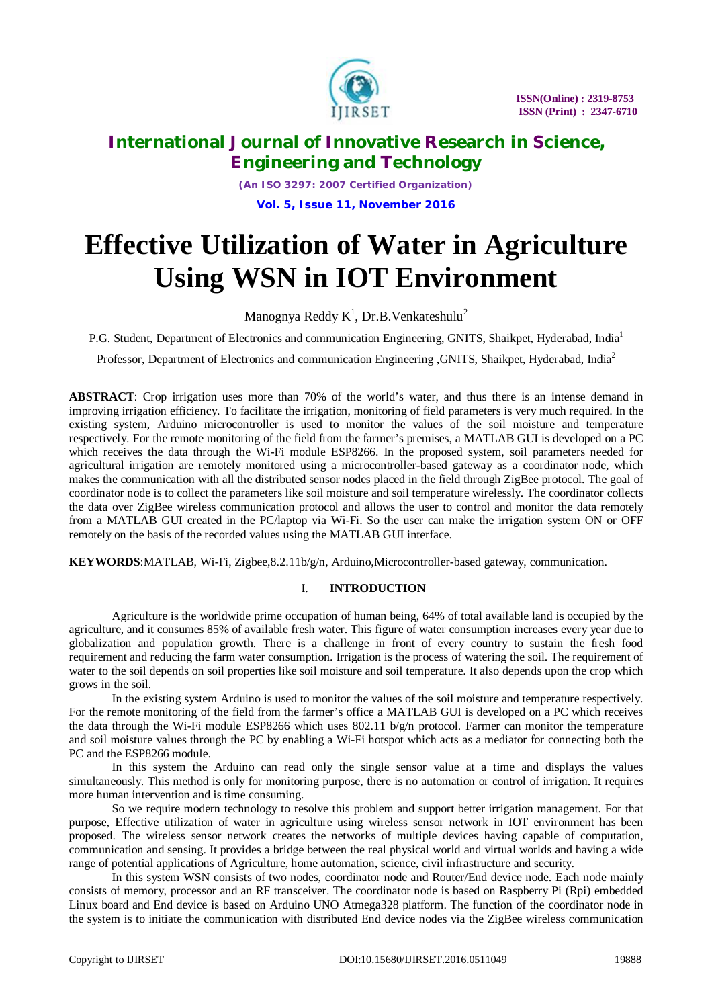

*(An ISO 3297: 2007 Certified Organization)* **Vol. 5, Issue 11, November 2016**

# **Effective Utilization of Water in Agriculture Using WSN in IOT Environment**

Manognya Reddy K<sup>1</sup>, Dr.B.Venkateshulu<sup>2</sup>

P.G. Student, Department of Electronics and communication Engineering, GNITS, Shaikpet, Hyderabad, India<sup>1</sup>

Professor, Department of Electronics and communication Engineering ,GNITS, Shaikpet, Hyderabad, India<sup>2</sup>

**ABSTRACT**: Crop irrigation uses more than 70% of the world's water, and thus there is an intense demand in improving irrigation efficiency. To facilitate the irrigation, monitoring of field parameters is very much required. In the existing system, Arduino microcontroller is used to monitor the values of the soil moisture and temperature respectively. For the remote monitoring of the field from the farmer's premises, a MATLAB GUI is developed on a PC which receives the data through the Wi-Fi module ESP8266. In the proposed system, soil parameters needed for agricultural irrigation are remotely monitored using a microcontroller-based gateway as a coordinator node, which makes the communication with all the distributed sensor nodes placed in the field through ZigBee protocol. The goal of coordinator node is to collect the parameters like soil moisture and soil temperature wirelessly. The coordinator collects the data over ZigBee wireless communication protocol and allows the user to control and monitor the data remotely from a MATLAB GUI created in the PC/laptop via Wi-Fi. So the user can make the irrigation system ON or OFF remotely on the basis of the recorded values using the MATLAB GUI interface.

**KEYWORDS**:MATLAB, Wi-Fi, Zigbee,8.2.11b/g/n, Arduino,Microcontroller-based gateway, communication.

#### I. **INTRODUCTION**

Agriculture is the worldwide prime occupation of human being, 64% of total available land is occupied by the agriculture, and it consumes 85% of available fresh water. This figure of water consumption increases every year due to globalization and population growth. There is a challenge in front of every country to sustain the fresh food requirement and reducing the farm water consumption. Irrigation is the process of watering the soil. The requirement of water to the soil depends on soil properties like soil moisture and soil temperature. It also depends upon the crop which grows in the soil.

In the existing system Arduino is used to monitor the values of the soil moisture and temperature respectively. For the remote monitoring of the field from the farmer's office a MATLAB GUI is developed on a PC which receives the data through the Wi-Fi module ESP8266 which uses 802.11 b/g/n protocol. Farmer can monitor the temperature and soil moisture values through the PC by enabling a Wi-Fi hotspot which acts as a mediator for connecting both the PC and the ESP8266 module.

In this system the Arduino can read only the single sensor value at a time and displays the values simultaneously. This method is only for monitoring purpose, there is no automation or control of irrigation. It requires more human intervention and is time consuming.

So we require modern technology to resolve this problem and support better irrigation management. For that purpose, Effective utilization of water in agriculture using wireless sensor network in IOT environment has been proposed. The wireless sensor network creates the networks of multiple devices having capable of computation, communication and sensing. It provides a bridge between the real physical world and virtual worlds and having a wide range of potential applications of Agriculture, home automation, science, civil infrastructure and security.

In this system WSN consists of two nodes, coordinator node and Router/End device node. Each node mainly consists of memory, processor and an RF transceiver. The coordinator node is based on Raspberry Pi (Rpi) embedded Linux board and End device is based on Arduino UNO Atmega328 platform. The function of the coordinator node in the system is to initiate the communication with distributed End device nodes via the ZigBee wireless communication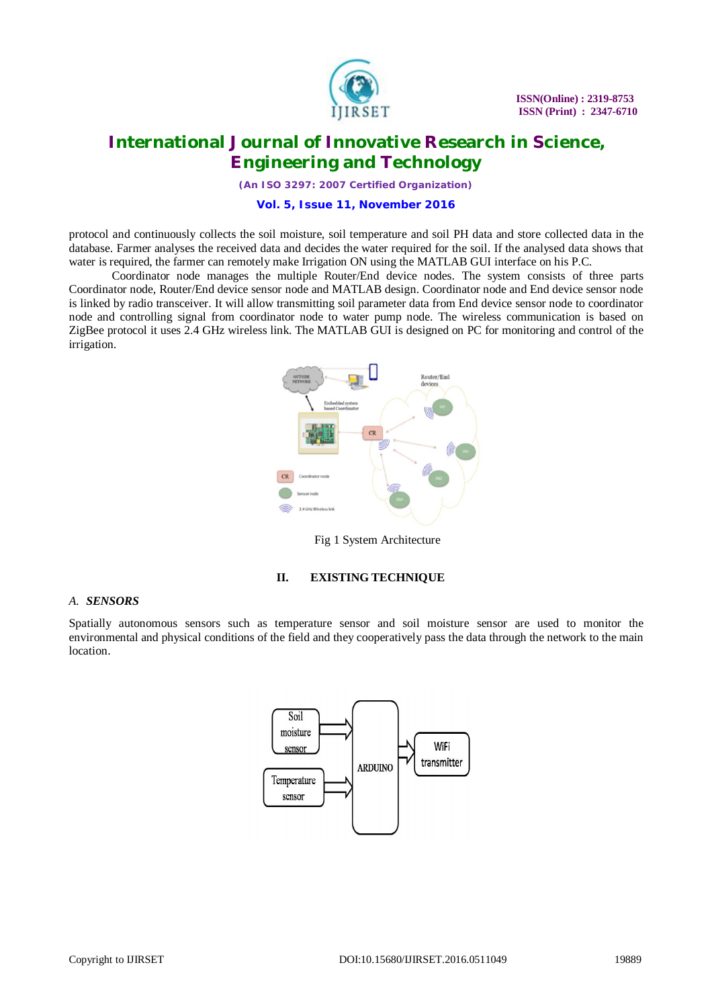

*(An ISO 3297: 2007 Certified Organization)*

#### **Vol. 5, Issue 11, November 2016**

protocol and continuously collects the soil moisture, soil temperature and soil PH data and store collected data in the database. Farmer analyses the received data and decides the water required for the soil. If the analysed data shows that water is required, the farmer can remotely make Irrigation ON using the MATLAB GUI interface on his P.C.

Coordinator node manages the multiple Router/End device nodes. The system consists of three parts Coordinator node, Router/End device sensor node and MATLAB design. Coordinator node and End device sensor node is linked by radio transceiver. It will allow transmitting soil parameter data from End device sensor node to coordinator node and controlling signal from coordinator node to water pump node. The wireless communication is based on ZigBee protocol it uses 2.4 GHz wireless link. The MATLAB GUI is designed on PC for monitoring and control of the irrigation.



Fig 1 System Architecture

#### **II. EXISTING TECHNIQUE**

#### *A. SENSORS*

Spatially autonomous sensors such as temperature sensor and soil moisture sensor are used to monitor the environmental and physical conditions of the field and they cooperatively pass the data through the network to the main location.

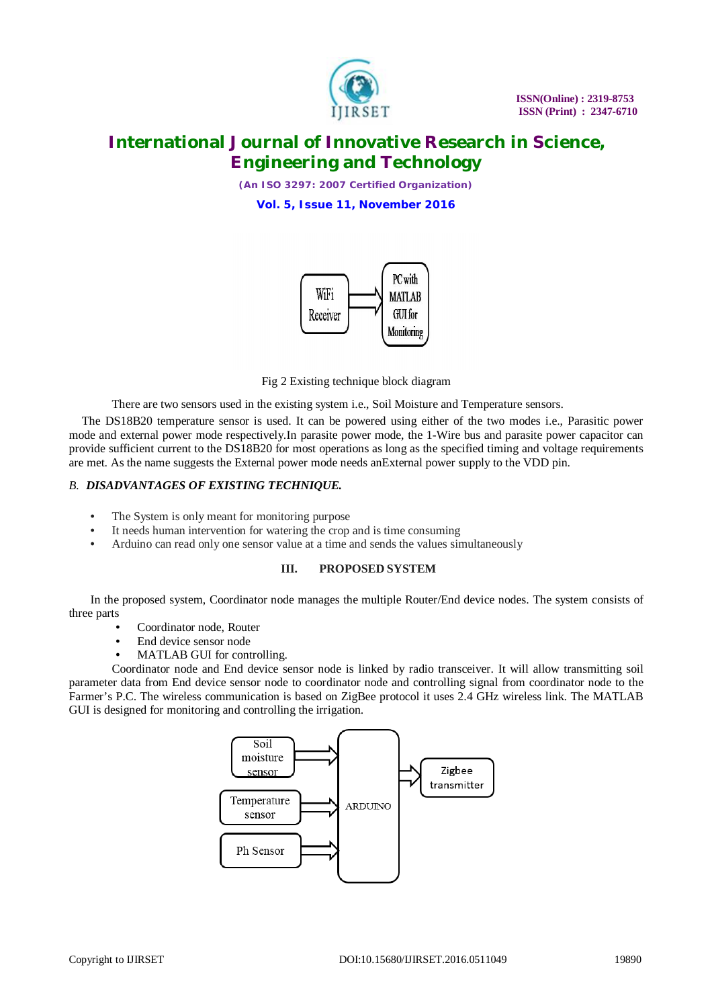

*(An ISO 3297: 2007 Certified Organization)*

**Vol. 5, Issue 11, November 2016**





There are two sensors used in the existing system i.e., Soil Moisture and Temperature sensors.

The DS18B20 temperature sensor is used. It can be powered using either of the two modes i.e., Parasitic power mode and external power mode respectively.In parasite power mode, the 1-Wire bus and parasite power capacitor can provide sufficient current to the DS18B20 for most operations as long as the specified timing and voltage requirements are met. As the name suggests the External power mode needs anExternal power supply to the VDD pin.

#### *B. DISADVANTAGES OF EXISTING TECHNIQUE.*

- The System is only meant for monitoring purpose
- It needs human intervention for watering the crop and is time consuming
- Arduino can read only one sensor value at a time and sends the values simultaneously

#### **III. PROPOSED SYSTEM**

In the proposed system, Coordinator node manages the multiple Router/End device nodes. The system consists of three parts

- Coordinator node, Router
- End device sensor node
- MATLAB GUI for controlling.

Coordinator node and End device sensor node is linked by radio transceiver. It will allow transmitting soil parameter data from End device sensor node to coordinator node and controlling signal from coordinator node to the Farmer's P.C. The wireless communication is based on ZigBee protocol it uses 2.4 GHz wireless link. The MATLAB GUI is designed for monitoring and controlling the irrigation.

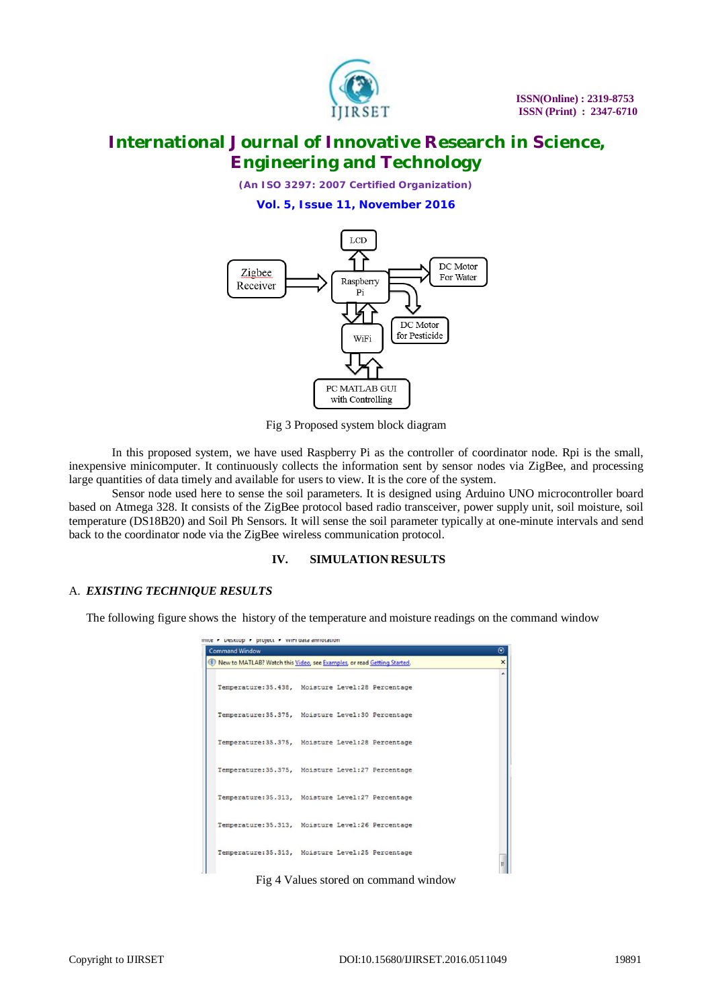

*(An ISO 3297: 2007 Certified Organization)*

**Vol. 5, Issue 11, November 2016**



Fig 3 Proposed system block diagram

In this proposed system, we have used Raspberry Pi as the controller of coordinator node. Rpi is the small, inexpensive minicomputer. It continuously collects the information sent by sensor nodes via ZigBee, and processing large quantities of data timely and available for users to view. It is the core of the system.

Sensor node used here to sense the soil parameters. It is designed using Arduino UNO microcontroller board based on Atmega 328. It consists of the ZigBee protocol based radio transceiver, power supply unit, soil moisture, soil temperature (DS18B20) and Soil Ph Sensors. It will sense the soil parameter typically at one-minute intervals and send back to the coordinator node via the ZigBee wireless communication protocol.

#### **IV. SIMULATION RESULTS**

#### A. *EXISTING TECHNIQUE RESULTS*

The following figure shows the history of the temperature and moisture readings on the command window

| <b>Command Window</b><br>(1) New to MATLAB? Watch this Video, see Examples, or read Getting Started. |  |  |
|------------------------------------------------------------------------------------------------------|--|--|
| Temperature: 35.438. Moisture Level: 28 Percentage                                                   |  |  |
| Temperature: 35.375, Moisture Level: 30 Percentage                                                   |  |  |
| Temperature: 35.375, Moisture Level: 28 Percentage                                                   |  |  |
| Temperature: 35.375, Moisture Level: 27 Percentage                                                   |  |  |
| Temperature: 35.313, Moisture Level: 27 Percentage                                                   |  |  |
| Temperature: 35.313, Moisture Level: 26 Percentage                                                   |  |  |
| Temperature: 35.313, Moisture Level: 25 Percentage                                                   |  |  |

Fig 4 Values stored on command window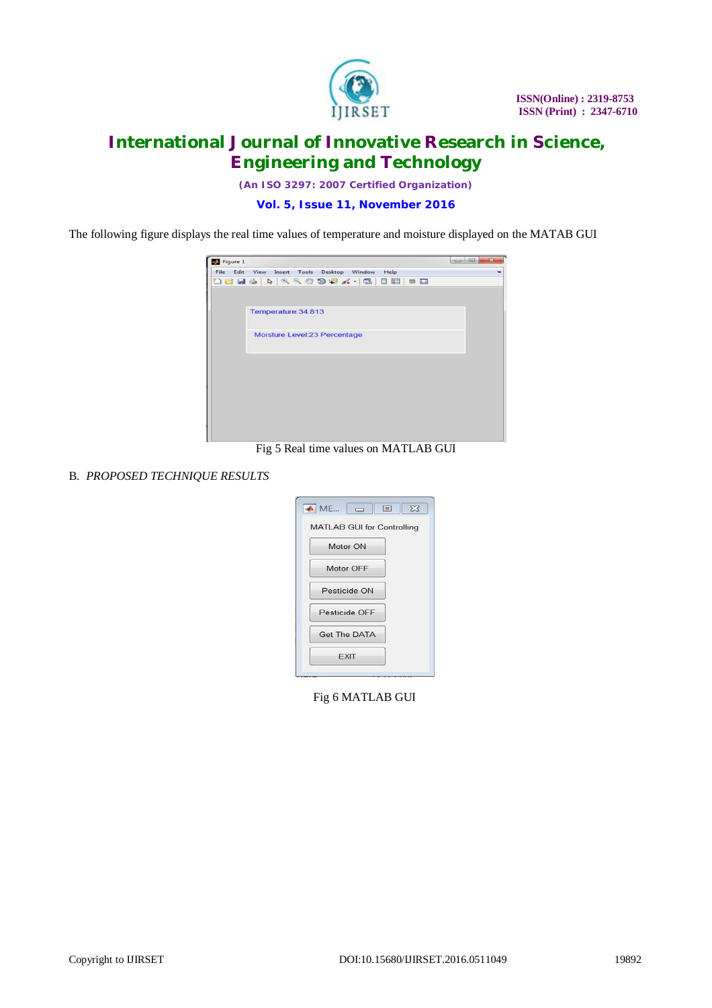

*(An ISO 3297: 2007 Certified Organization)*

**Vol. 5, Issue 11, November 2016**

The following figure displays the real time values of temperature and moisture displayed on the MATAB GUI



Fig 5 Real time values on MATLAB GUI

B. *PROPOSED TECHNIQUE RESULTS* 

| $M.E., \Box$<br>$\boxed{a}$       | $\Sigma$ |
|-----------------------------------|----------|
| <b>MATLAB GUI for Controlling</b> |          |
| Motor ON                          |          |
| Motor OFF                         |          |
| Pesticide ON                      |          |
| Pesticide OFF                     |          |
| <b>Get The DATA</b>               |          |
| <b>FXIT</b>                       |          |

Fig 6 MATLAB GUI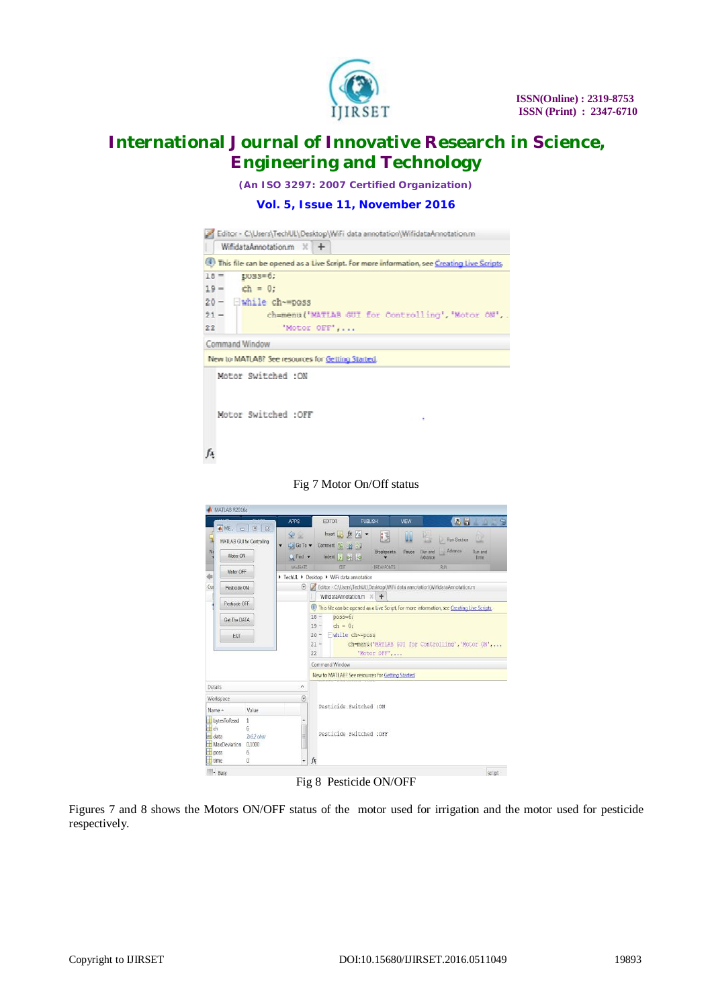

*(An ISO 3297: 2007 Certified Organization)*

#### **Vol. 5, Issue 11, November 2016**

|                                                                                                                                                     |                                                                        | Editor - C:\Users\TechUL\Desktop\WiFi data annotation\WifidataAnnotation.m                                                                                                                                                                                                                          |  |
|-----------------------------------------------------------------------------------------------------------------------------------------------------|------------------------------------------------------------------------|-----------------------------------------------------------------------------------------------------------------------------------------------------------------------------------------------------------------------------------------------------------------------------------------------------|--|
| WifidataAnnotation.m $\mathbb{K}$                                                                                                                   |                                                                        | ÷                                                                                                                                                                                                                                                                                                   |  |
|                                                                                                                                                     |                                                                        | 1) This file can be opened as a Live Script. For more information, see Creating Live Scripts.                                                                                                                                                                                                       |  |
| $10 =$<br>$pvase=6$ ;<br>$19 -$<br>$ch = 0$ ;<br>Ewhile ch-mposs<br>$20 -$<br>$21 -$<br>22                                                          |                                                                        | ch=menu('MATLAB GUI for Controlling', 'Motor ON', .<br>'Motor OFF',                                                                                                                                                                                                                                 |  |
| Command Window                                                                                                                                      |                                                                        |                                                                                                                                                                                                                                                                                                     |  |
|                                                                                                                                                     |                                                                        | New to MATLAB? See resources for Getting Started.                                                                                                                                                                                                                                                   |  |
| Motor Switched :ON<br>Motor Switched :OFF                                                                                                           |                                                                        |                                                                                                                                                                                                                                                                                                     |  |
|                                                                                                                                                     |                                                                        | Fig 7 Motor On/Off status                                                                                                                                                                                                                                                                           |  |
| MATLAB R2016a                                                                                                                                       |                                                                        |                                                                                                                                                                                                                                                                                                     |  |
| ▲ ME □ □ 8<br>MATLAB GUI for Controlling<br>Ň<br>Motor ON<br>Motor OFF<br>śı                                                                        | <b>APPS</b><br>$\leq$<br>Go To v<br>$C$ Find $\rightarrow$<br>NAVIGATE | <b>PUBLISH</b><br>区局<br>EDITOR<br>VEW<br>Insert $f x + f$<br>u<br>ß<br>Run Section<br>Comment % 23<br>Advance<br>Run and<br>Run and<br><b>Breakpoints</b><br>Pause<br>Indent F will Fee<br>Advance<br>Time<br><b>BREAKPOINTS</b><br>EDIT<br><b>BUN</b><br>▶ TechUL ▶ Desktop ▶ WiFi data annotation |  |
| Cu<br>Pesticide ON                                                                                                                                  |                                                                        | Editor - C\Users\TechUL\Desktop\WiFi data annotation\WifidataAnnotation.m                                                                                                                                                                                                                           |  |
| Pesticide OFF<br>Get The DATA<br>EXIT                                                                                                               |                                                                        | WifidataAnnotation.m X +<br>This file can be opened as a Live Script. For more information, see Creating Live Scripts,<br>$18 -$<br>$poss=6$ ;<br>$19 -$<br>$ch = 0;$<br>$20 -$ While ch~=poss<br>ch=menu('MATLAB GUI for Controlling', 'Motor ON',<br>$21 -$<br>'Motor OFF',<br>22                 |  |
|                                                                                                                                                     |                                                                        | Command Window                                                                                                                                                                                                                                                                                      |  |
|                                                                                                                                                     |                                                                        | New to MATLAB? See resources for Getting Started.                                                                                                                                                                                                                                                   |  |
| Details                                                                                                                                             | ٨                                                                      |                                                                                                                                                                                                                                                                                                     |  |
| Workspace<br>Name +<br>Value<br>bytesToRead<br>$\mathbf{1}$<br>t ch<br>6.<br>1x52 char<br><b>abc</b> data<br>MaxDeviation 0.1000<br>$\pm$ poss<br>6 | $^\copyright$<br>릨                                                     | Pesticide Switched : ON<br>Pesticide Switched : OFF                                                                                                                                                                                                                                                 |  |
| time<br>$\overline{0}$                                                                                                                              |                                                                        | fx                                                                                                                                                                                                                                                                                                  |  |
| - Busy                                                                                                                                              |                                                                        | script                                                                                                                                                                                                                                                                                              |  |

Fig 8 Pesticide ON/OFF

Figures 7 and 8 shows the Motors ON/OFF status of the motor used for irrigation and the motor used for pesticide respectively.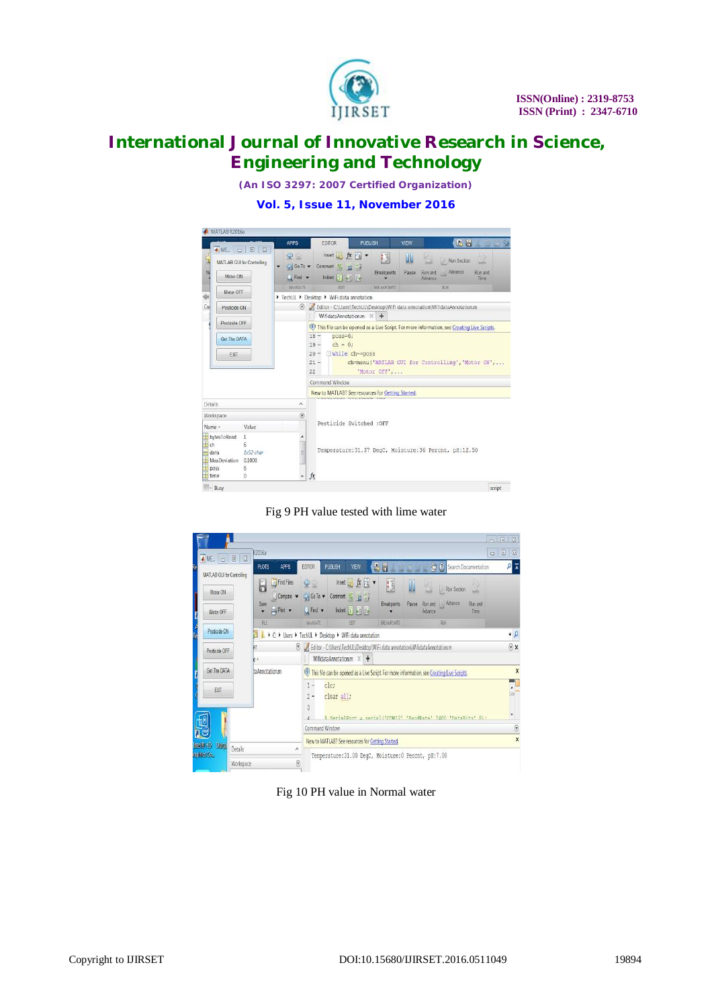

*(An ISO 3297: 2007 Certified Organization)*

#### **Vol. 5, Issue 11, November 2016**



Fig 9 PH value tested with lime water

| ▲ ME.   □   图   23                                  | R2016a<br><b>PLOTS</b><br>APPS                                               | $\qquad \qquad \Box$<br>Search Documentation<br>A H<br>VIEW<br><b>PUBLISH</b><br><b>EDITOR</b><br>画面                                                                                                                                                                          | $\alpha$<br>$\begin{array}{c} \hline \Xi \end{array}$<br>$\overline{\lambda}$ |
|-----------------------------------------------------|------------------------------------------------------------------------------|-------------------------------------------------------------------------------------------------------------------------------------------------------------------------------------------------------------------------------------------------------------------------------|-------------------------------------------------------------------------------|
| MATLAB GUI for Controlling<br>Motor ON<br>Motor OFF | <b>D</b> Find Files<br>ā<br>$\Box$ Compare<br>Save<br>$-$ Pant $-$<br>۷<br>胜 | Insert $K_{6}$ $*$<br>95<br><b>IS</b><br>UU<br>恆<br>Run Section<br>ω<br>Go To v<br>Comment % 33 %<br>Run and Advance<br>Pause<br>Breakpoints<br>Run and<br>$Q$ Find $\blacktriangledown$<br>Indent 5 of To-<br>Advance<br>Time<br>NAVIGATE<br>BREAKPONTS<br>RUN<br><b>EDT</b> |                                                                               |
| Pesticide ON                                        |                                                                              | ▶ C: ▶ Users ▶ TechUL ▶ Desktop ▶ WiFi data annotation                                                                                                                                                                                                                        | $\bullet$ $\rho$                                                              |
| Pesticide OFF                                       | ëſ<br>pл                                                                     | ighter - C:\Users\TechUL\Desktop\WiFi data annotation\WifidataAnnotation.m<br>WifidataAnnotation.m X +                                                                                                                                                                        | $\circ x$                                                                     |
| Get The DATA<br>taAnnotation.m<br>EXT               |                                                                              | This file can be opened as a Live Script. For more information, see Creating Live Scripts.<br>clc:<br>$1 -$<br>$2 -$<br>clear all;<br>3<br>& Regislengt = serial/innw121 iRandBate' 2400 instaRits' 81.                                                                       | $\boldsymbol{\mathsf{x}}$                                                     |
|                                                     |                                                                              | Command Window                                                                                                                                                                                                                                                                | $\odot$<br>$\overline{\mathbf{x}}$                                            |
| $ln(0)$ HD<br><b>Ques</b><br>Details                |                                                                              | New to MATLAB? See resources for Getting Started.<br>٨                                                                                                                                                                                                                        |                                                                               |
| raphies Co.<br>Workspace                            |                                                                              | Temperature:31.00 DeqC, Moisture:0 Percnt, pH:7.00<br>$^{\circ}$                                                                                                                                                                                                              |                                                                               |

Fig 10 PH value in Normal water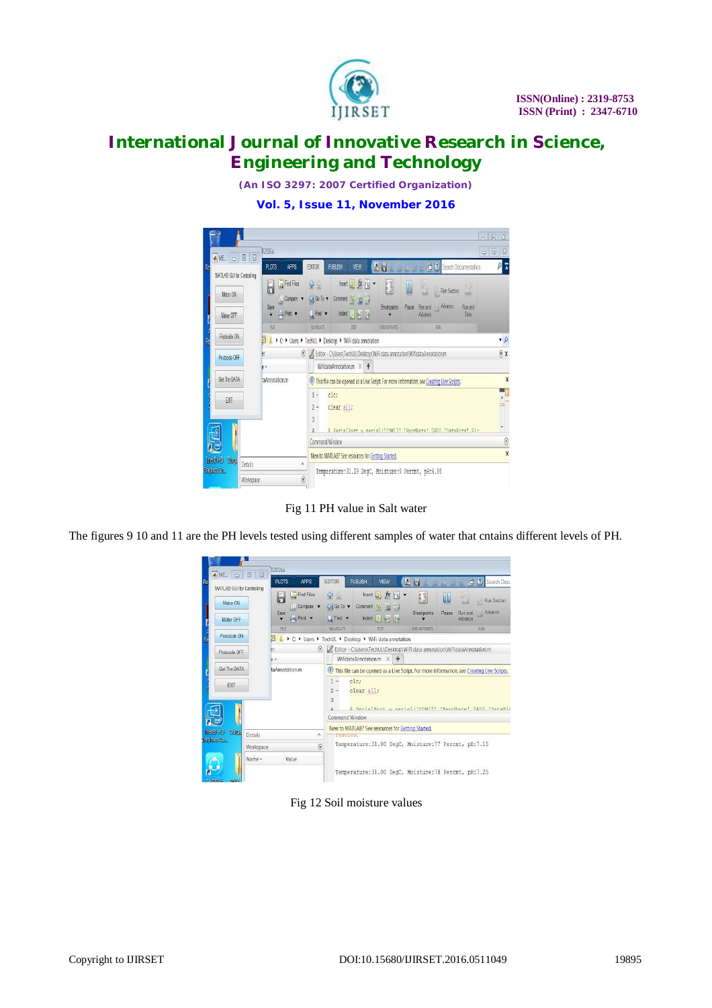

*(An ISO 3297: 2007 Certified Organization)*

**Vol. 5, Issue 11, November 2016**



Fig 11 PH value in Salt water

The figures 9 10 and 11 are the PH levels tested using different samples of water that cntains different levels of PH.



Fig 12 Soil moisture values